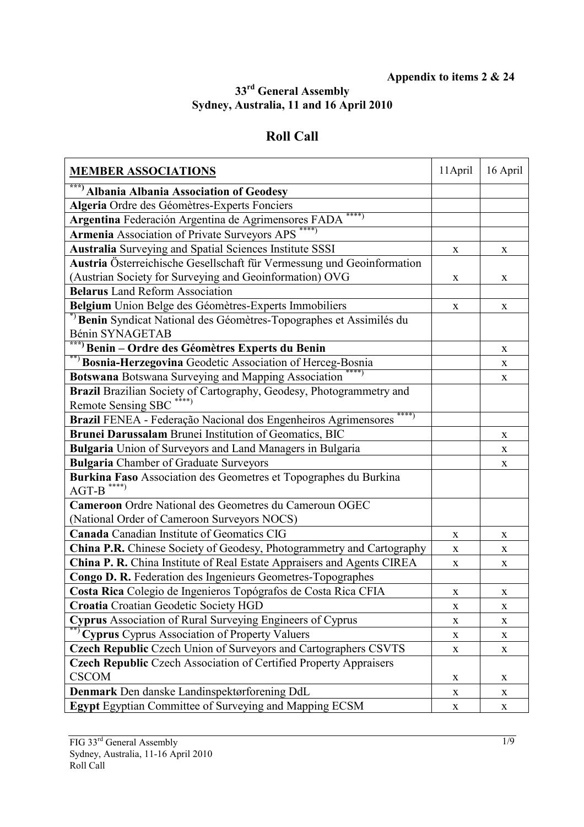## **Appendix to items 2 & 24**

## **33rd General Assembly Sydney, Australia, 11 and 16 April 2010**

## **Roll Call**

| <b>MEMBER ASSOCIATIONS</b>                                                                     | 11 April    | 16 April     |
|------------------------------------------------------------------------------------------------|-------------|--------------|
| ***) Albania Albania Association of Geodesy                                                    |             |              |
| Algeria Ordre des Géomètres-Experts Fonciers                                                   |             |              |
| ****)<br>Argentina Federación Argentina de Agrimensores FADA                                   |             |              |
| <b>Armenia Association of Private Surveyors APS</b>                                            |             |              |
| Australia Surveying and Spatial Sciences Institute SSSI                                        | X           | X            |
| Austria Österreichische Gesellschaft für Vermessung und Geoinformation                         |             |              |
| (Austrian Society for Surveying and Geoinformation) OVG                                        | X           | X            |
| <b>Belarus</b> Land Reform Association                                                         |             |              |
| Belgium Union Belge des Géomètres-Experts Immobiliers                                          | $\mathbf X$ | X            |
| *) Benin Syndicat National des Géomètres-Topographes et Assimilés du                           |             |              |
| Bénin SYNAGETAB                                                                                |             |              |
| ***) Benin – Ordre des Géomètres Experts du Benin                                              |             | $\mathbf X$  |
| **) Bosnia-Herzegovina Geodetic Association of Herceg-Bosnia                                   |             | $\mathbf X$  |
| Botswana Botswana Surveying and Mapping Association                                            |             | $\mathbf X$  |
| Brazil Brazilian Society of Cartography, Geodesy, Photogrammetry and                           |             |              |
| <b>Remote Sensing SBC</b>                                                                      |             |              |
| ****)<br>Brazil FENEA - Federação Nacional dos Engenheiros Agrimensores                        |             |              |
| Brunei Darussalam Brunei Institution of Geomatics, BIC                                         |             | $\mathbf X$  |
| <b>Bulgaria</b> Union of Surveyors and Land Managers in Bulgaria                               |             | X            |
| <b>Bulgaria</b> Chamber of Graduate Surveyors                                                  |             | $\mathbf{X}$ |
| Burkina Faso Association des Geometres et Topographes du Burkina<br>$AGT-B$ <sup>*****</sup> ) |             |              |
| Cameroon Ordre National des Geometres du Cameroun OGEC                                         |             |              |
| (National Order of Cameroon Surveyors NOCS)                                                    |             |              |
| <b>Canada Canadian Institute of Geomatics CIG</b>                                              | $\mathbf X$ | X            |
| China P.R. Chinese Society of Geodesy, Photogrammetry and Cartography                          | X           | X            |
| China P. R. China Institute of Real Estate Appraisers and Agents CIREA                         | X           | X            |
| Congo D. R. Federation des Ingenieurs Geometres-Topographes                                    |             |              |
| Costa Rica Colegio de Ingenieros Topógrafos de Costa Rica CFIA                                 | X           | X            |
| Croatia Croatian Geodetic Society HGD                                                          | X           | $\mathbf X$  |
| Cyprus Association of Rural Surveying Engineers of Cyprus                                      | X           | X            |
| **) Cyprus Cyprus Association of Property Valuers                                              | X           | X            |
| Czech Republic Czech Union of Surveyors and Cartographers CSVTS                                | X           | $\mathbf X$  |
| Czech Republic Czech Association of Certified Property Appraisers                              |             |              |
| <b>CSCOM</b>                                                                                   | X           | $\mathbf X$  |
| Denmark Den danske Landinspektørforening DdL                                                   | X           | X            |
| Egypt Egyptian Committee of Surveying and Mapping ECSM                                         | $\mathbf X$ | $\mathbf X$  |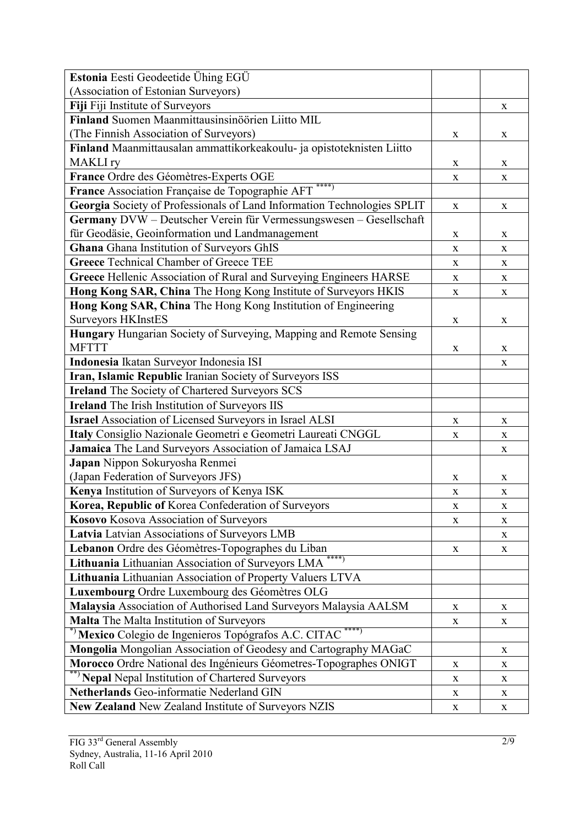| Estonia Eesti Geodeetide Ühing EGÜ                                        |              |              |
|---------------------------------------------------------------------------|--------------|--------------|
| (Association of Estonian Surveyors)                                       |              |              |
| Fiji Fiji Institute of Surveyors                                          |              | X            |
| Finland Suomen Maanmittausinsinöörien Liitto MIL                          |              |              |
| (The Finnish Association of Surveyors)                                    | X            | X            |
| Finland Maanmittausalan ammattikorkeakoulu- ja opistoteknisten Liitto     |              |              |
| <b>MAKLI</b> ry                                                           | X            | X            |
| France Ordre des Géomètres-Experts OGE                                    | X            | X            |
| France Association Française de Topographie AFT                           |              |              |
| Georgia Society of Professionals of Land Information Technologies SPLIT   | X            | X            |
| Germany DVW - Deutscher Verein für Vermessungswesen - Gesellschaft        |              |              |
| für Geodäsie, Geoinformation und Landmanagement                           | X            | X            |
| Ghana Ghana Institution of Surveyors GhIS                                 | X            | X            |
| <b>Greece Technical Chamber of Greece TEE</b>                             | X            | $\mathbf X$  |
| Greece Hellenic Association of Rural and Surveying Engineers HARSE        | X            | X            |
| Hong Kong SAR, China The Hong Kong Institute of Surveyors HKIS            | $\mathbf X$  | $\mathbf X$  |
| Hong Kong SAR, China The Hong Kong Institution of Engineering             |              |              |
| <b>Surveyors HKInstES</b>                                                 | $\mathbf X$  | $\mathbf X$  |
| <b>Hungary</b> Hungarian Society of Surveying, Mapping and Remote Sensing |              |              |
| <b>MFTTT</b>                                                              | X            | X            |
| Indonesia Ikatan Surveyor Indonesia ISI                                   |              | X            |
| Iran, Islamic Republic Iranian Society of Surveyors ISS                   |              |              |
| <b>Ireland</b> The Society of Chartered Surveyors SCS                     |              |              |
| <b>Ireland</b> The Irish Institution of Surveyors IIS                     |              |              |
| <b>Israel Association of Licensed Surveyors in Israel ALSI</b>            | $\mathbf X$  | $\mathbf X$  |
| Italy Consiglio Nazionale Geometri e Geometri Laureati CNGGL              | X            | X            |
| Jamaica The Land Surveyors Association of Jamaica LSAJ                    |              | $\mathbf{X}$ |
| Japan Nippon Sokuryosha Renmei                                            |              |              |
| (Japan Federation of Surveyors JFS)                                       | X            | X            |
| Kenya Institution of Surveyors of Kenya ISK                               | X            | $\mathbf X$  |
| Korea, Republic of Korea Confederation of Surveyors                       | $\mathbf X$  | $\mathbf X$  |
| Kosovo Kosova Association of Surveyors                                    | $\mathbf X$  | $\mathbf X$  |
| Latvia Latvian Associations of Surveyors LMB                              |              | X            |
| Lebanon Ordre des Géomètres-Topographes du Liban                          | $\mathbf X$  | $\mathbf{X}$ |
| $***$ )<br>Lithuania Lithuanian Association of Surveyors LMA              |              |              |
| Lithuania Lithuanian Association of Property Valuers LTVA                 |              |              |
| Luxembourg Ordre Luxembourg des Géomètres OLG                             |              |              |
| Malaysia Association of Authorised Land Surveyors Malaysia AALSM          | X            | X            |
| Malta The Malta Institution of Surveyors                                  | $\mathbf X$  | $\mathbf X$  |
| *) Mexico Colegio de Ingenieros Topógrafos A.C. CITAC *****               |              |              |
| Mongolia Mongolian Association of Geodesy and Cartography MAGaC           |              | X            |
| Morocco Ordre National des Ingénieurs Géometres-Topographes ONIGT         | $\mathbf X$  | $\mathbf X$  |
| ** Nepal Nepal Institution of Chartered Surveyors                         | X            | $\mathbf{X}$ |
| Netherlands Geo-informatie Nederland GIN                                  | $\mathbf X$  | X            |
| New Zealand New Zealand Institute of Surveyors NZIS                       | $\mathbf{X}$ | X            |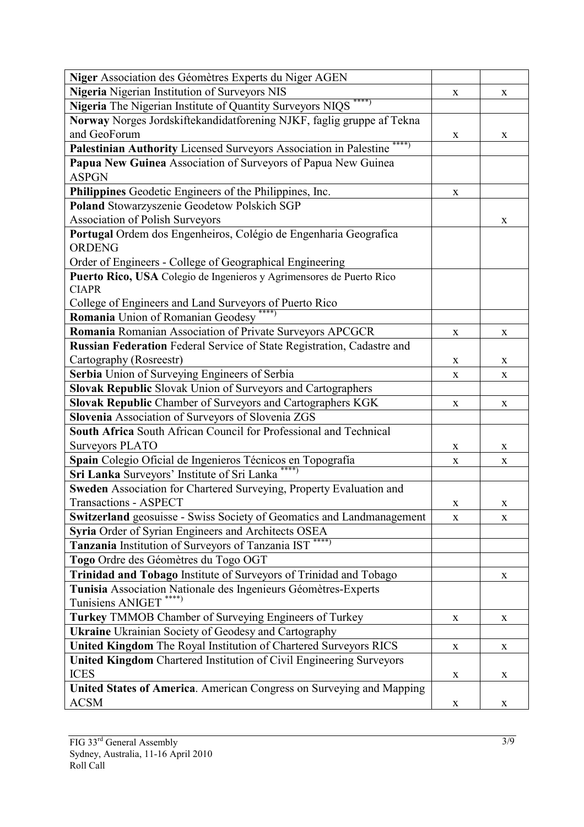| Niger Association des Géomètres Experts du Niger AGEN                        |              |             |
|------------------------------------------------------------------------------|--------------|-------------|
| Nigeria Nigerian Institution of Surveyors NIS                                | X            | X           |
| ****)<br>Nigeria The Nigerian Institute of Quantity Surveyors NIQS           |              |             |
| Norway Norges Jordskiftekandidatforening NJKF, faglig gruppe af Tekna        |              |             |
| and GeoForum                                                                 | X            | X           |
| $***)$<br>Palestinian Authority Licensed Surveyors Association in Palestine  |              |             |
| Papua New Guinea Association of Surveyors of Papua New Guinea                |              |             |
| <b>ASPGN</b>                                                                 |              |             |
| Philippines Geodetic Engineers of the Philippines, Inc.                      | $\mathbf X$  |             |
| Poland Stowarzyszenie Geodetow Polskich SGP                                  |              |             |
| <b>Association of Polish Surveyors</b>                                       |              | X           |
| Portugal Ordem dos Engenheiros, Colégio de Engenharia Geografica             |              |             |
| <b>ORDENG</b>                                                                |              |             |
| Order of Engineers - College of Geographical Engineering                     |              |             |
| Puerto Rico, USA Colegio de Ingenieros y Agrimensores de Puerto Rico         |              |             |
| <b>CIAPR</b>                                                                 |              |             |
| College of Engineers and Land Surveyors of Puerto Rico                       |              |             |
| Romania Union of Romanian Geodesy                                            |              |             |
| Romania Romanian Association of Private Surveyors APCGCR                     | $\mathbf X$  | $\mathbf X$ |
| Russian Federation Federal Service of State Registration, Cadastre and       |              |             |
| Cartography (Rosreestr)                                                      | X            | X           |
| Serbia Union of Surveying Engineers of Serbia                                | X            | X           |
| Slovak Republic Slovak Union of Surveyors and Cartographers                  |              |             |
| Slovak Republic Chamber of Surveyors and Cartographers KGK                   | $\mathbf X$  | $\mathbf X$ |
| Slovenia Association of Surveyors of Slovenia ZGS                            |              |             |
| South Africa South African Council for Professional and Technical            |              |             |
| <b>Surveyors PLATO</b>                                                       | X            | $\mathbf X$ |
| Spain Colegio Oficial de Ingenieros Técnicos en Topografía                   | $\mathbf X$  | $\mathbf X$ |
| Sri Lanka Surveyors' Institute of Sri Lanka                                  |              |             |
| Sweden Association for Chartered Surveying, Property Evaluation and          |              |             |
| <b>Transactions - ASPECT</b>                                                 | $\mathbf X$  | X           |
| <b>Switzerland</b> geosuisse - Swiss Society of Geomatics and Landmanagement | X            | X           |
| Syria Order of Syrian Engineers and Architects OSEA                          |              |             |
| Tanzania Institution of Surveyors of Tanzania IST ****)                      |              |             |
| Togo Ordre des Géomètres du Togo OGT                                         |              |             |
| Trinidad and Tobago Institute of Surveyors of Trinidad and Tobago            |              | $\mathbf X$ |
| Tunisia Association Nationale des Ingenieurs Géomètres-Experts               |              |             |
| ****)<br>Tunisiens ANIGET                                                    |              |             |
| Turkey TMMOB Chamber of Surveying Engineers of Turkey                        | X            | X           |
| <b>Ukraine</b> Ukrainian Society of Geodesy and Cartography                  |              |             |
| <b>United Kingdom</b> The Royal Institution of Chartered Surveyors RICS      | $\mathbf{X}$ | $\mathbf X$ |
| <b>United Kingdom</b> Chartered Institution of Civil Engineering Surveyors   |              |             |
| <b>ICES</b>                                                                  | X            | X           |
| United States of America. American Congress on Surveying and Mapping         |              |             |
| <b>ACSM</b>                                                                  | X            | X           |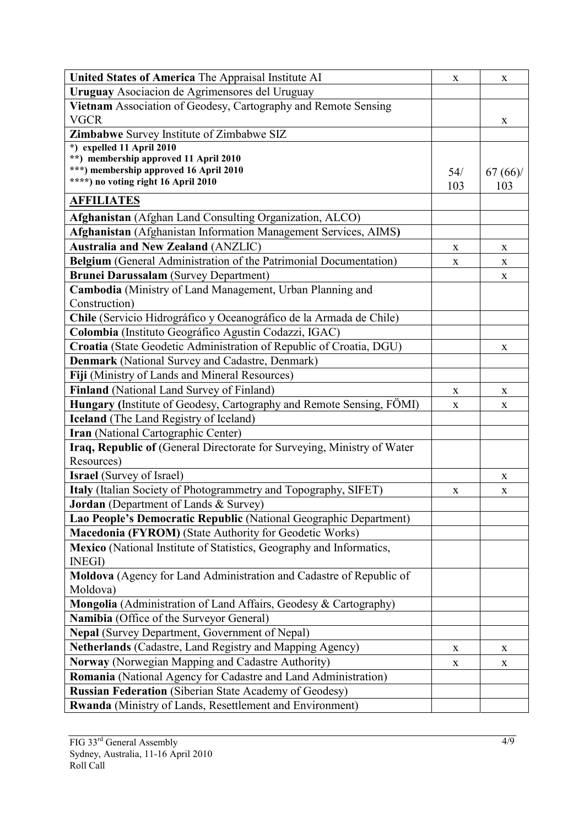| United States of America The Appraisal Institute AI                           | X   | X           |
|-------------------------------------------------------------------------------|-----|-------------|
| Uruguay Asociacion de Agrimensores del Uruguay                                |     |             |
| Vietnam Association of Geodesy, Cartography and Remote Sensing                |     |             |
| <b>VGCR</b>                                                                   |     | X           |
| Zimbabwe Survey Institute of Zimbabwe SIZ                                     |     |             |
| *) expelled 11 April 2010                                                     |     |             |
| **) membership approved 11 April 2010                                         |     |             |
| ***) membership approved 16 April 2010<br>****) no voting right 16 April 2010 | 54/ | 67(66)      |
|                                                                               | 103 | 103         |
| <b>AFFILIATES</b>                                                             |     |             |
| Afghanistan (Afghan Land Consulting Organization, ALCO)                       |     |             |
| Afghanistan (Afghanistan Information Management Services, AIMS)               |     |             |
| <b>Australia and New Zealand (ANZLIC)</b>                                     | X   | X           |
| Belgium (General Administration of the Patrimonial Documentation)             | X   | X           |
| <b>Brunei Darussalam</b> (Survey Department)                                  |     | X           |
| Cambodia (Ministry of Land Management, Urban Planning and                     |     |             |
| Construction)                                                                 |     |             |
| Chile (Servicio Hidrográfico y Oceanográfico de la Armada de Chile)           |     |             |
| Colombia (Instituto Geográfico Agustin Codazzi, IGAC)                         |     |             |
| Croatia (State Geodetic Administration of Republic of Croatia, DGU)           |     | X           |
| <b>Denmark</b> (National Survey and Cadastre, Denmark)                        |     |             |
| Fiji (Ministry of Lands and Mineral Resources)                                |     |             |
| Finland (National Land Survey of Finland)                                     | X   | X           |
| Hungary (Institute of Geodesy, Cartography and Remote Sensing, FÖMI)          | X   | $\mathbf X$ |
| <b>Iceland</b> (The Land Registry of Iceland)                                 |     |             |
| Iran (National Cartographic Center)                                           |     |             |
| Iraq, Republic of (General Directorate for Surveying, Ministry of Water       |     |             |
| Resources)                                                                    |     |             |
| <b>Israel</b> (Survey of Israel)                                              |     | X           |
| Italy (Italian Society of Photogrammetry and Topography, SIFET)               | X   | X           |
| Jordan (Department of Lands & Survey)                                         |     |             |
| Lao People's Democratic Republic (National Geographic Department)             |     |             |
| <b>Macedonia (FYROM)</b> (State Authority for Geodetic Works)                 |     |             |
| <b>Mexico</b> (National Institute of Statistics, Geography and Informatics,   |     |             |
| <b>INEGI</b> )                                                                |     |             |
| Moldova (Agency for Land Administration and Cadastre of Republic of           |     |             |
| Moldova)                                                                      |     |             |
| Mongolia (Administration of Land Affairs, Geodesy & Cartography)              |     |             |
| Namibia (Office of the Surveyor General)                                      |     |             |
| Nepal (Survey Department, Government of Nepal)                                |     |             |
| <b>Netherlands</b> (Cadastre, Land Registry and Mapping Agency)               | X   | X           |
| Norway (Norwegian Mapping and Cadastre Authority)                             | X   | X           |
| Romania (National Agency for Cadastre and Land Administration)                |     |             |
| <b>Russian Federation (Siberian State Academy of Geodesy)</b>                 |     |             |
| <b>Rwanda</b> (Ministry of Lands, Resettlement and Environment)               |     |             |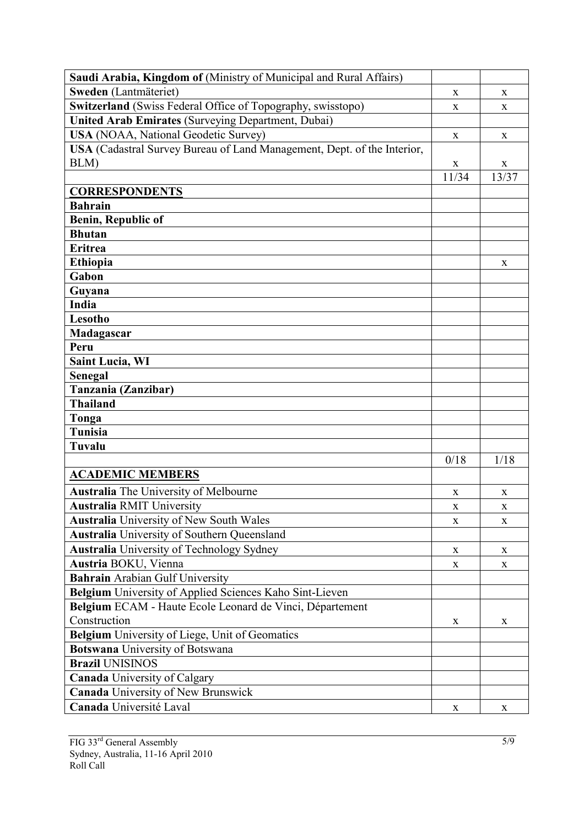| Sweden (Lantmäteriet)<br>X<br>X<br><b>Switzerland</b> (Swiss Federal Office of Topography, swisstopo)<br>X<br>X<br><b>United Arab Emirates (Surveying Department, Dubai)</b><br><b>USA</b> (NOAA, National Geodetic Survey)<br>X<br>X<br>USA (Cadastral Survey Bureau of Land Management, Dept. of the Interior,<br>BLM)<br>X<br>X<br>13/37<br>11/34<br><b>CORRESPONDENTS</b><br><b>Bahrain</b><br><b>Benin, Republic of</b><br><b>Bhutan</b><br><b>Eritrea</b><br><b>Ethiopia</b><br>X<br>Gabon<br>Guyana<br>India<br>Lesotho<br>Madagascar<br>Peru<br><b>Saint Lucia, WI</b><br>Senegal<br>Tanzania (Zanzibar)<br><b>Thailand</b><br>Tonga<br><b>Tunisia</b><br>Tuvalu<br>0/18<br>1/18<br><b>ACADEMIC MEMBERS</b><br><b>Australia</b> The University of Melbourne<br>X<br>X<br><b>Australia RMIT University</b><br>X<br>X<br><b>Australia</b> University of New South Wales<br>X<br>X<br><b>Australia</b> University of Southern Queensland<br><b>Australia</b> University of Technology Sydney<br>$\mathbf X$<br>$\mathbf X$<br>Austria BOKU, Vienna<br>X<br>X<br><b>Bahrain Arabian Gulf University</b> |
|-------------------------------------------------------------------------------------------------------------------------------------------------------------------------------------------------------------------------------------------------------------------------------------------------------------------------------------------------------------------------------------------------------------------------------------------------------------------------------------------------------------------------------------------------------------------------------------------------------------------------------------------------------------------------------------------------------------------------------------------------------------------------------------------------------------------------------------------------------------------------------------------------------------------------------------------------------------------------------------------------------------------------------------------------------------------------------------------------------------|
|                                                                                                                                                                                                                                                                                                                                                                                                                                                                                                                                                                                                                                                                                                                                                                                                                                                                                                                                                                                                                                                                                                             |
|                                                                                                                                                                                                                                                                                                                                                                                                                                                                                                                                                                                                                                                                                                                                                                                                                                                                                                                                                                                                                                                                                                             |
|                                                                                                                                                                                                                                                                                                                                                                                                                                                                                                                                                                                                                                                                                                                                                                                                                                                                                                                                                                                                                                                                                                             |
|                                                                                                                                                                                                                                                                                                                                                                                                                                                                                                                                                                                                                                                                                                                                                                                                                                                                                                                                                                                                                                                                                                             |
|                                                                                                                                                                                                                                                                                                                                                                                                                                                                                                                                                                                                                                                                                                                                                                                                                                                                                                                                                                                                                                                                                                             |
|                                                                                                                                                                                                                                                                                                                                                                                                                                                                                                                                                                                                                                                                                                                                                                                                                                                                                                                                                                                                                                                                                                             |
|                                                                                                                                                                                                                                                                                                                                                                                                                                                                                                                                                                                                                                                                                                                                                                                                                                                                                                                                                                                                                                                                                                             |
|                                                                                                                                                                                                                                                                                                                                                                                                                                                                                                                                                                                                                                                                                                                                                                                                                                                                                                                                                                                                                                                                                                             |
|                                                                                                                                                                                                                                                                                                                                                                                                                                                                                                                                                                                                                                                                                                                                                                                                                                                                                                                                                                                                                                                                                                             |
|                                                                                                                                                                                                                                                                                                                                                                                                                                                                                                                                                                                                                                                                                                                                                                                                                                                                                                                                                                                                                                                                                                             |
|                                                                                                                                                                                                                                                                                                                                                                                                                                                                                                                                                                                                                                                                                                                                                                                                                                                                                                                                                                                                                                                                                                             |
|                                                                                                                                                                                                                                                                                                                                                                                                                                                                                                                                                                                                                                                                                                                                                                                                                                                                                                                                                                                                                                                                                                             |
|                                                                                                                                                                                                                                                                                                                                                                                                                                                                                                                                                                                                                                                                                                                                                                                                                                                                                                                                                                                                                                                                                                             |
|                                                                                                                                                                                                                                                                                                                                                                                                                                                                                                                                                                                                                                                                                                                                                                                                                                                                                                                                                                                                                                                                                                             |
|                                                                                                                                                                                                                                                                                                                                                                                                                                                                                                                                                                                                                                                                                                                                                                                                                                                                                                                                                                                                                                                                                                             |
|                                                                                                                                                                                                                                                                                                                                                                                                                                                                                                                                                                                                                                                                                                                                                                                                                                                                                                                                                                                                                                                                                                             |
|                                                                                                                                                                                                                                                                                                                                                                                                                                                                                                                                                                                                                                                                                                                                                                                                                                                                                                                                                                                                                                                                                                             |
|                                                                                                                                                                                                                                                                                                                                                                                                                                                                                                                                                                                                                                                                                                                                                                                                                                                                                                                                                                                                                                                                                                             |
|                                                                                                                                                                                                                                                                                                                                                                                                                                                                                                                                                                                                                                                                                                                                                                                                                                                                                                                                                                                                                                                                                                             |
|                                                                                                                                                                                                                                                                                                                                                                                                                                                                                                                                                                                                                                                                                                                                                                                                                                                                                                                                                                                                                                                                                                             |
|                                                                                                                                                                                                                                                                                                                                                                                                                                                                                                                                                                                                                                                                                                                                                                                                                                                                                                                                                                                                                                                                                                             |
|                                                                                                                                                                                                                                                                                                                                                                                                                                                                                                                                                                                                                                                                                                                                                                                                                                                                                                                                                                                                                                                                                                             |
|                                                                                                                                                                                                                                                                                                                                                                                                                                                                                                                                                                                                                                                                                                                                                                                                                                                                                                                                                                                                                                                                                                             |
|                                                                                                                                                                                                                                                                                                                                                                                                                                                                                                                                                                                                                                                                                                                                                                                                                                                                                                                                                                                                                                                                                                             |
|                                                                                                                                                                                                                                                                                                                                                                                                                                                                                                                                                                                                                                                                                                                                                                                                                                                                                                                                                                                                                                                                                                             |
|                                                                                                                                                                                                                                                                                                                                                                                                                                                                                                                                                                                                                                                                                                                                                                                                                                                                                                                                                                                                                                                                                                             |
|                                                                                                                                                                                                                                                                                                                                                                                                                                                                                                                                                                                                                                                                                                                                                                                                                                                                                                                                                                                                                                                                                                             |
|                                                                                                                                                                                                                                                                                                                                                                                                                                                                                                                                                                                                                                                                                                                                                                                                                                                                                                                                                                                                                                                                                                             |
|                                                                                                                                                                                                                                                                                                                                                                                                                                                                                                                                                                                                                                                                                                                                                                                                                                                                                                                                                                                                                                                                                                             |
|                                                                                                                                                                                                                                                                                                                                                                                                                                                                                                                                                                                                                                                                                                                                                                                                                                                                                                                                                                                                                                                                                                             |
|                                                                                                                                                                                                                                                                                                                                                                                                                                                                                                                                                                                                                                                                                                                                                                                                                                                                                                                                                                                                                                                                                                             |
|                                                                                                                                                                                                                                                                                                                                                                                                                                                                                                                                                                                                                                                                                                                                                                                                                                                                                                                                                                                                                                                                                                             |
|                                                                                                                                                                                                                                                                                                                                                                                                                                                                                                                                                                                                                                                                                                                                                                                                                                                                                                                                                                                                                                                                                                             |
|                                                                                                                                                                                                                                                                                                                                                                                                                                                                                                                                                                                                                                                                                                                                                                                                                                                                                                                                                                                                                                                                                                             |
|                                                                                                                                                                                                                                                                                                                                                                                                                                                                                                                                                                                                                                                                                                                                                                                                                                                                                                                                                                                                                                                                                                             |
| Belgium University of Applied Sciences Kaho Sint-Lieven                                                                                                                                                                                                                                                                                                                                                                                                                                                                                                                                                                                                                                                                                                                                                                                                                                                                                                                                                                                                                                                     |
| Belgium ECAM - Haute Ecole Leonard de Vinci, Département                                                                                                                                                                                                                                                                                                                                                                                                                                                                                                                                                                                                                                                                                                                                                                                                                                                                                                                                                                                                                                                    |
| Construction<br>X<br>X                                                                                                                                                                                                                                                                                                                                                                                                                                                                                                                                                                                                                                                                                                                                                                                                                                                                                                                                                                                                                                                                                      |
| <b>Belgium</b> University of Liege, Unit of Geomatics                                                                                                                                                                                                                                                                                                                                                                                                                                                                                                                                                                                                                                                                                                                                                                                                                                                                                                                                                                                                                                                       |
| Botswana University of Botswana                                                                                                                                                                                                                                                                                                                                                                                                                                                                                                                                                                                                                                                                                                                                                                                                                                                                                                                                                                                                                                                                             |
| <b>Brazil UNISINOS</b>                                                                                                                                                                                                                                                                                                                                                                                                                                                                                                                                                                                                                                                                                                                                                                                                                                                                                                                                                                                                                                                                                      |
| <b>Canada</b> University of Calgary                                                                                                                                                                                                                                                                                                                                                                                                                                                                                                                                                                                                                                                                                                                                                                                                                                                                                                                                                                                                                                                                         |
| <b>Canada University of New Brunswick</b>                                                                                                                                                                                                                                                                                                                                                                                                                                                                                                                                                                                                                                                                                                                                                                                                                                                                                                                                                                                                                                                                   |
| Canada Université Laval<br>X<br>X                                                                                                                                                                                                                                                                                                                                                                                                                                                                                                                                                                                                                                                                                                                                                                                                                                                                                                                                                                                                                                                                           |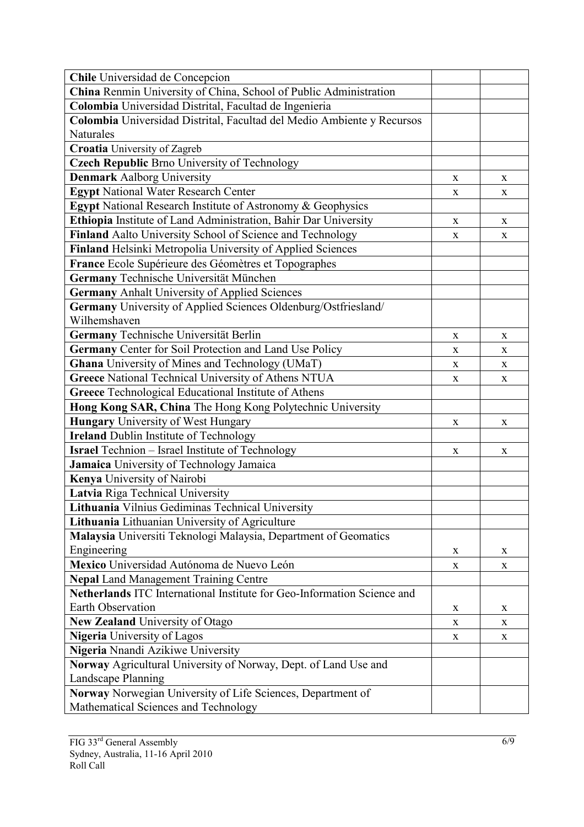| Chile Universidad de Concepcion                                         |             |             |
|-------------------------------------------------------------------------|-------------|-------------|
| China Renmin University of China, School of Public Administration       |             |             |
| Colombia Universidad Distrital, Facultad de Ingenieria                  |             |             |
| Colombia Universidad Distrital, Facultad del Medio Ambiente y Recursos  |             |             |
| Naturales                                                               |             |             |
| <b>Croatia</b> University of Zagreb                                     |             |             |
| <b>Czech Republic Brno University of Technology</b>                     |             |             |
| <b>Denmark Aalborg University</b>                                       | X           | X           |
| <b>Egypt National Water Research Center</b>                             | X           | $\mathbf X$ |
| <b>Egypt</b> National Research Institute of Astronomy & Geophysics      |             |             |
| Ethiopia Institute of Land Administration, Bahir Dar University         | X           | $\mathbf X$ |
| Finland Aalto University School of Science and Technology               | X           | X           |
| Finland Helsinki Metropolia University of Applied Sciences              |             |             |
| France Ecole Supérieure des Géomètres et Topographes                    |             |             |
| Germany Technische Universität München                                  |             |             |
| <b>Germany Anhalt University of Applied Sciences</b>                    |             |             |
| Germany University of Applied Sciences Oldenburg/Ostfriesland/          |             |             |
| Wilhemshaven                                                            |             |             |
| Germany Technische Universität Berlin                                   | X           | X           |
| Germany Center for Soil Protection and Land Use Policy                  | X           | X           |
| Ghana University of Mines and Technology (UMaT)                         | $\mathbf X$ | X           |
| Greece National Technical University of Athens NTUA                     | X           | $\mathbf X$ |
| Greece Technological Educational Institute of Athens                    |             |             |
| Hong Kong SAR, China The Hong Kong Polytechnic University               |             |             |
| <b>Hungary</b> University of West Hungary                               | X           | X           |
| <b>Ireland Dublin Institute of Technology</b>                           |             |             |
| <b>Israel</b> Technion - Israel Institute of Technology                 | $\mathbf X$ | X           |
| Jamaica University of Technology Jamaica                                |             |             |
| Kenya University of Nairobi                                             |             |             |
| Latvia Riga Technical University                                        |             |             |
| Lithuania Vilnius Gediminas Technical University                        |             |             |
| Lithuania Lithuanian University of Agriculture                          |             |             |
| Malaysia Universiti Teknologi Malaysia, Department of Geomatics         |             |             |
| Engineering                                                             | $\mathbf X$ | X           |
| Mexico Universidad Autónoma de Nuevo León                               | X           | X           |
| <b>Nepal Land Management Training Centre</b>                            |             |             |
| Netherlands ITC International Institute for Geo-Information Science and |             |             |
| Earth Observation                                                       | X           | X           |
| New Zealand University of Otago                                         | X           | X           |
| Nigeria University of Lagos                                             | X           | X           |
| Nigeria Nnandi Azikiwe University                                       |             |             |
| Norway Agricultural University of Norway, Dept. of Land Use and         |             |             |
| Landscape Planning                                                      |             |             |
| Norway Norwegian University of Life Sciences, Department of             |             |             |
| Mathematical Sciences and Technology                                    |             |             |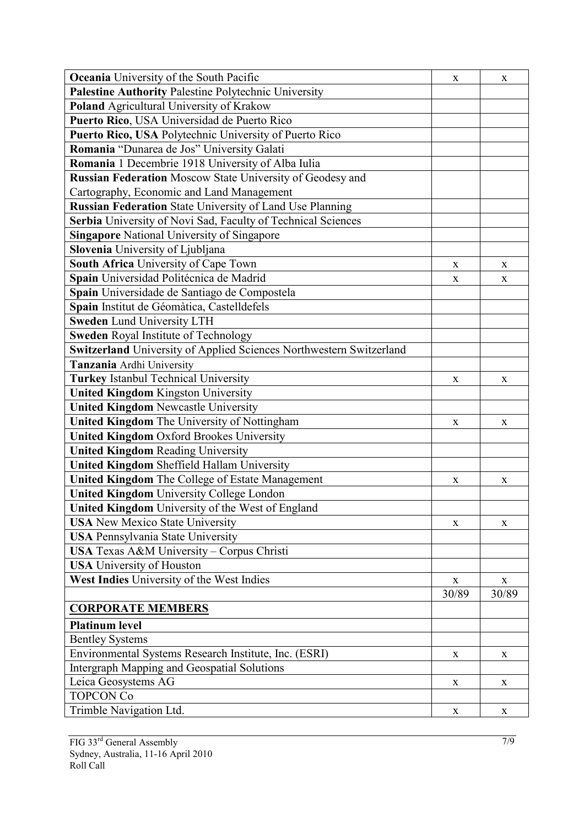| Palestine Authority Palestine Polytechnic University<br>Poland Agricultural University of Krakow<br>Puerto Rico, USA Universidad de Puerto Rico<br>Puerto Rico, USA Polytechnic University of Puerto Rico<br>Romania "Dunarea de Jos" University Galati<br>Romania 1 Decembrie 1918 University of Alba Iulia<br><b>Russian Federation Moscow State University of Geodesy and</b><br>Cartography, Economic and Land Management<br>Russian Federation State University of Land Use Planning<br>Serbia University of Novi Sad, Faculty of Technical Sciences<br><b>Singapore National University of Singapore</b><br>Slovenia University of Ljubljana<br>South Africa University of Cape Town<br>X<br>X<br>Spain Universidad Politécnica de Madrid<br>$\mathbf X$<br>X<br>Spain Universidade de Santiago de Compostela<br>Spain Institut de Géomàtica, Castelldefels<br><b>Sweden Lund University LTH</b><br><b>Sweden</b> Royal Institute of Technology<br>Switzerland University of Applied Sciences Northwestern Switzerland<br>Tanzania Ardhi University<br><b>Turkey Istanbul Technical University</b><br>X<br>X<br><b>United Kingdom Kingston University</b><br><b>United Kingdom Newcastle University</b><br>United Kingdom The University of Nottingham<br>X<br>X<br><b>United Kingdom Oxford Brookes University</b><br><b>United Kingdom Reading University</b><br><b>United Kingdom Sheffield Hallam University</b><br>United Kingdom The College of Estate Management<br>X<br>X<br><b>United Kingdom University College London</b><br>United Kingdom University of the West of England<br><b>USA</b> New Mexico State University<br>X<br>X<br><b>USA Pennsylvania State University</b><br>USA Texas A&M University - Corpus Christi<br><b>USA</b> University of Houston<br>West Indies University of the West Indies<br>$\mathbf X$<br>$\mathbf{X}$<br>30/89<br>30/89<br><b>CORPORATE MEMBERS</b><br><b>Platinum level</b><br><b>Bentley Systems</b><br>Environmental Systems Research Institute, Inc. (ESRI)<br>X<br>X<br><b>Intergraph Mapping and Geospatial Solutions</b><br>Leica Geosystems AG<br>X<br>X<br><b>TOPCON Co</b><br>X<br>X | <b>Oceania</b> University of the South Pacific | X | X |
|------------------------------------------------------------------------------------------------------------------------------------------------------------------------------------------------------------------------------------------------------------------------------------------------------------------------------------------------------------------------------------------------------------------------------------------------------------------------------------------------------------------------------------------------------------------------------------------------------------------------------------------------------------------------------------------------------------------------------------------------------------------------------------------------------------------------------------------------------------------------------------------------------------------------------------------------------------------------------------------------------------------------------------------------------------------------------------------------------------------------------------------------------------------------------------------------------------------------------------------------------------------------------------------------------------------------------------------------------------------------------------------------------------------------------------------------------------------------------------------------------------------------------------------------------------------------------------------------------------------------------------------------------------------------------------------------------------------------------------------------------------------------------------------------------------------------------------------------------------------------------------------------------------------------------------------------------------------------------------------------------------------------------------------------------------------------------------------------------------------------------------------------------|------------------------------------------------|---|---|
|                                                                                                                                                                                                                                                                                                                                                                                                                                                                                                                                                                                                                                                                                                                                                                                                                                                                                                                                                                                                                                                                                                                                                                                                                                                                                                                                                                                                                                                                                                                                                                                                                                                                                                                                                                                                                                                                                                                                                                                                                                                                                                                                                      |                                                |   |   |
|                                                                                                                                                                                                                                                                                                                                                                                                                                                                                                                                                                                                                                                                                                                                                                                                                                                                                                                                                                                                                                                                                                                                                                                                                                                                                                                                                                                                                                                                                                                                                                                                                                                                                                                                                                                                                                                                                                                                                                                                                                                                                                                                                      |                                                |   |   |
|                                                                                                                                                                                                                                                                                                                                                                                                                                                                                                                                                                                                                                                                                                                                                                                                                                                                                                                                                                                                                                                                                                                                                                                                                                                                                                                                                                                                                                                                                                                                                                                                                                                                                                                                                                                                                                                                                                                                                                                                                                                                                                                                                      |                                                |   |   |
|                                                                                                                                                                                                                                                                                                                                                                                                                                                                                                                                                                                                                                                                                                                                                                                                                                                                                                                                                                                                                                                                                                                                                                                                                                                                                                                                                                                                                                                                                                                                                                                                                                                                                                                                                                                                                                                                                                                                                                                                                                                                                                                                                      |                                                |   |   |
|                                                                                                                                                                                                                                                                                                                                                                                                                                                                                                                                                                                                                                                                                                                                                                                                                                                                                                                                                                                                                                                                                                                                                                                                                                                                                                                                                                                                                                                                                                                                                                                                                                                                                                                                                                                                                                                                                                                                                                                                                                                                                                                                                      |                                                |   |   |
|                                                                                                                                                                                                                                                                                                                                                                                                                                                                                                                                                                                                                                                                                                                                                                                                                                                                                                                                                                                                                                                                                                                                                                                                                                                                                                                                                                                                                                                                                                                                                                                                                                                                                                                                                                                                                                                                                                                                                                                                                                                                                                                                                      |                                                |   |   |
|                                                                                                                                                                                                                                                                                                                                                                                                                                                                                                                                                                                                                                                                                                                                                                                                                                                                                                                                                                                                                                                                                                                                                                                                                                                                                                                                                                                                                                                                                                                                                                                                                                                                                                                                                                                                                                                                                                                                                                                                                                                                                                                                                      |                                                |   |   |
|                                                                                                                                                                                                                                                                                                                                                                                                                                                                                                                                                                                                                                                                                                                                                                                                                                                                                                                                                                                                                                                                                                                                                                                                                                                                                                                                                                                                                                                                                                                                                                                                                                                                                                                                                                                                                                                                                                                                                                                                                                                                                                                                                      |                                                |   |   |
|                                                                                                                                                                                                                                                                                                                                                                                                                                                                                                                                                                                                                                                                                                                                                                                                                                                                                                                                                                                                                                                                                                                                                                                                                                                                                                                                                                                                                                                                                                                                                                                                                                                                                                                                                                                                                                                                                                                                                                                                                                                                                                                                                      |                                                |   |   |
|                                                                                                                                                                                                                                                                                                                                                                                                                                                                                                                                                                                                                                                                                                                                                                                                                                                                                                                                                                                                                                                                                                                                                                                                                                                                                                                                                                                                                                                                                                                                                                                                                                                                                                                                                                                                                                                                                                                                                                                                                                                                                                                                                      |                                                |   |   |
|                                                                                                                                                                                                                                                                                                                                                                                                                                                                                                                                                                                                                                                                                                                                                                                                                                                                                                                                                                                                                                                                                                                                                                                                                                                                                                                                                                                                                                                                                                                                                                                                                                                                                                                                                                                                                                                                                                                                                                                                                                                                                                                                                      |                                                |   |   |
|                                                                                                                                                                                                                                                                                                                                                                                                                                                                                                                                                                                                                                                                                                                                                                                                                                                                                                                                                                                                                                                                                                                                                                                                                                                                                                                                                                                                                                                                                                                                                                                                                                                                                                                                                                                                                                                                                                                                                                                                                                                                                                                                                      |                                                |   |   |
|                                                                                                                                                                                                                                                                                                                                                                                                                                                                                                                                                                                                                                                                                                                                                                                                                                                                                                                                                                                                                                                                                                                                                                                                                                                                                                                                                                                                                                                                                                                                                                                                                                                                                                                                                                                                                                                                                                                                                                                                                                                                                                                                                      |                                                |   |   |
|                                                                                                                                                                                                                                                                                                                                                                                                                                                                                                                                                                                                                                                                                                                                                                                                                                                                                                                                                                                                                                                                                                                                                                                                                                                                                                                                                                                                                                                                                                                                                                                                                                                                                                                                                                                                                                                                                                                                                                                                                                                                                                                                                      |                                                |   |   |
|                                                                                                                                                                                                                                                                                                                                                                                                                                                                                                                                                                                                                                                                                                                                                                                                                                                                                                                                                                                                                                                                                                                                                                                                                                                                                                                                                                                                                                                                                                                                                                                                                                                                                                                                                                                                                                                                                                                                                                                                                                                                                                                                                      |                                                |   |   |
|                                                                                                                                                                                                                                                                                                                                                                                                                                                                                                                                                                                                                                                                                                                                                                                                                                                                                                                                                                                                                                                                                                                                                                                                                                                                                                                                                                                                                                                                                                                                                                                                                                                                                                                                                                                                                                                                                                                                                                                                                                                                                                                                                      |                                                |   |   |
|                                                                                                                                                                                                                                                                                                                                                                                                                                                                                                                                                                                                                                                                                                                                                                                                                                                                                                                                                                                                                                                                                                                                                                                                                                                                                                                                                                                                                                                                                                                                                                                                                                                                                                                                                                                                                                                                                                                                                                                                                                                                                                                                                      |                                                |   |   |
|                                                                                                                                                                                                                                                                                                                                                                                                                                                                                                                                                                                                                                                                                                                                                                                                                                                                                                                                                                                                                                                                                                                                                                                                                                                                                                                                                                                                                                                                                                                                                                                                                                                                                                                                                                                                                                                                                                                                                                                                                                                                                                                                                      |                                                |   |   |
|                                                                                                                                                                                                                                                                                                                                                                                                                                                                                                                                                                                                                                                                                                                                                                                                                                                                                                                                                                                                                                                                                                                                                                                                                                                                                                                                                                                                                                                                                                                                                                                                                                                                                                                                                                                                                                                                                                                                                                                                                                                                                                                                                      |                                                |   |   |
|                                                                                                                                                                                                                                                                                                                                                                                                                                                                                                                                                                                                                                                                                                                                                                                                                                                                                                                                                                                                                                                                                                                                                                                                                                                                                                                                                                                                                                                                                                                                                                                                                                                                                                                                                                                                                                                                                                                                                                                                                                                                                                                                                      |                                                |   |   |
|                                                                                                                                                                                                                                                                                                                                                                                                                                                                                                                                                                                                                                                                                                                                                                                                                                                                                                                                                                                                                                                                                                                                                                                                                                                                                                                                                                                                                                                                                                                                                                                                                                                                                                                                                                                                                                                                                                                                                                                                                                                                                                                                                      |                                                |   |   |
|                                                                                                                                                                                                                                                                                                                                                                                                                                                                                                                                                                                                                                                                                                                                                                                                                                                                                                                                                                                                                                                                                                                                                                                                                                                                                                                                                                                                                                                                                                                                                                                                                                                                                                                                                                                                                                                                                                                                                                                                                                                                                                                                                      |                                                |   |   |
|                                                                                                                                                                                                                                                                                                                                                                                                                                                                                                                                                                                                                                                                                                                                                                                                                                                                                                                                                                                                                                                                                                                                                                                                                                                                                                                                                                                                                                                                                                                                                                                                                                                                                                                                                                                                                                                                                                                                                                                                                                                                                                                                                      |                                                |   |   |
|                                                                                                                                                                                                                                                                                                                                                                                                                                                                                                                                                                                                                                                                                                                                                                                                                                                                                                                                                                                                                                                                                                                                                                                                                                                                                                                                                                                                                                                                                                                                                                                                                                                                                                                                                                                                                                                                                                                                                                                                                                                                                                                                                      |                                                |   |   |
|                                                                                                                                                                                                                                                                                                                                                                                                                                                                                                                                                                                                                                                                                                                                                                                                                                                                                                                                                                                                                                                                                                                                                                                                                                                                                                                                                                                                                                                                                                                                                                                                                                                                                                                                                                                                                                                                                                                                                                                                                                                                                                                                                      |                                                |   |   |
|                                                                                                                                                                                                                                                                                                                                                                                                                                                                                                                                                                                                                                                                                                                                                                                                                                                                                                                                                                                                                                                                                                                                                                                                                                                                                                                                                                                                                                                                                                                                                                                                                                                                                                                                                                                                                                                                                                                                                                                                                                                                                                                                                      |                                                |   |   |
|                                                                                                                                                                                                                                                                                                                                                                                                                                                                                                                                                                                                                                                                                                                                                                                                                                                                                                                                                                                                                                                                                                                                                                                                                                                                                                                                                                                                                                                                                                                                                                                                                                                                                                                                                                                                                                                                                                                                                                                                                                                                                                                                                      |                                                |   |   |
|                                                                                                                                                                                                                                                                                                                                                                                                                                                                                                                                                                                                                                                                                                                                                                                                                                                                                                                                                                                                                                                                                                                                                                                                                                                                                                                                                                                                                                                                                                                                                                                                                                                                                                                                                                                                                                                                                                                                                                                                                                                                                                                                                      |                                                |   |   |
|                                                                                                                                                                                                                                                                                                                                                                                                                                                                                                                                                                                                                                                                                                                                                                                                                                                                                                                                                                                                                                                                                                                                                                                                                                                                                                                                                                                                                                                                                                                                                                                                                                                                                                                                                                                                                                                                                                                                                                                                                                                                                                                                                      |                                                |   |   |
|                                                                                                                                                                                                                                                                                                                                                                                                                                                                                                                                                                                                                                                                                                                                                                                                                                                                                                                                                                                                                                                                                                                                                                                                                                                                                                                                                                                                                                                                                                                                                                                                                                                                                                                                                                                                                                                                                                                                                                                                                                                                                                                                                      |                                                |   |   |
|                                                                                                                                                                                                                                                                                                                                                                                                                                                                                                                                                                                                                                                                                                                                                                                                                                                                                                                                                                                                                                                                                                                                                                                                                                                                                                                                                                                                                                                                                                                                                                                                                                                                                                                                                                                                                                                                                                                                                                                                                                                                                                                                                      |                                                |   |   |
|                                                                                                                                                                                                                                                                                                                                                                                                                                                                                                                                                                                                                                                                                                                                                                                                                                                                                                                                                                                                                                                                                                                                                                                                                                                                                                                                                                                                                                                                                                                                                                                                                                                                                                                                                                                                                                                                                                                                                                                                                                                                                                                                                      |                                                |   |   |
|                                                                                                                                                                                                                                                                                                                                                                                                                                                                                                                                                                                                                                                                                                                                                                                                                                                                                                                                                                                                                                                                                                                                                                                                                                                                                                                                                                                                                                                                                                                                                                                                                                                                                                                                                                                                                                                                                                                                                                                                                                                                                                                                                      |                                                |   |   |
|                                                                                                                                                                                                                                                                                                                                                                                                                                                                                                                                                                                                                                                                                                                                                                                                                                                                                                                                                                                                                                                                                                                                                                                                                                                                                                                                                                                                                                                                                                                                                                                                                                                                                                                                                                                                                                                                                                                                                                                                                                                                                                                                                      |                                                |   |   |
|                                                                                                                                                                                                                                                                                                                                                                                                                                                                                                                                                                                                                                                                                                                                                                                                                                                                                                                                                                                                                                                                                                                                                                                                                                                                                                                                                                                                                                                                                                                                                                                                                                                                                                                                                                                                                                                                                                                                                                                                                                                                                                                                                      |                                                |   |   |
|                                                                                                                                                                                                                                                                                                                                                                                                                                                                                                                                                                                                                                                                                                                                                                                                                                                                                                                                                                                                                                                                                                                                                                                                                                                                                                                                                                                                                                                                                                                                                                                                                                                                                                                                                                                                                                                                                                                                                                                                                                                                                                                                                      |                                                |   |   |
|                                                                                                                                                                                                                                                                                                                                                                                                                                                                                                                                                                                                                                                                                                                                                                                                                                                                                                                                                                                                                                                                                                                                                                                                                                                                                                                                                                                                                                                                                                                                                                                                                                                                                                                                                                                                                                                                                                                                                                                                                                                                                                                                                      |                                                |   |   |
|                                                                                                                                                                                                                                                                                                                                                                                                                                                                                                                                                                                                                                                                                                                                                                                                                                                                                                                                                                                                                                                                                                                                                                                                                                                                                                                                                                                                                                                                                                                                                                                                                                                                                                                                                                                                                                                                                                                                                                                                                                                                                                                                                      |                                                |   |   |
|                                                                                                                                                                                                                                                                                                                                                                                                                                                                                                                                                                                                                                                                                                                                                                                                                                                                                                                                                                                                                                                                                                                                                                                                                                                                                                                                                                                                                                                                                                                                                                                                                                                                                                                                                                                                                                                                                                                                                                                                                                                                                                                                                      |                                                |   |   |
|                                                                                                                                                                                                                                                                                                                                                                                                                                                                                                                                                                                                                                                                                                                                                                                                                                                                                                                                                                                                                                                                                                                                                                                                                                                                                                                                                                                                                                                                                                                                                                                                                                                                                                                                                                                                                                                                                                                                                                                                                                                                                                                                                      |                                                |   |   |
|                                                                                                                                                                                                                                                                                                                                                                                                                                                                                                                                                                                                                                                                                                                                                                                                                                                                                                                                                                                                                                                                                                                                                                                                                                                                                                                                                                                                                                                                                                                                                                                                                                                                                                                                                                                                                                                                                                                                                                                                                                                                                                                                                      |                                                |   |   |
|                                                                                                                                                                                                                                                                                                                                                                                                                                                                                                                                                                                                                                                                                                                                                                                                                                                                                                                                                                                                                                                                                                                                                                                                                                                                                                                                                                                                                                                                                                                                                                                                                                                                                                                                                                                                                                                                                                                                                                                                                                                                                                                                                      |                                                |   |   |
|                                                                                                                                                                                                                                                                                                                                                                                                                                                                                                                                                                                                                                                                                                                                                                                                                                                                                                                                                                                                                                                                                                                                                                                                                                                                                                                                                                                                                                                                                                                                                                                                                                                                                                                                                                                                                                                                                                                                                                                                                                                                                                                                                      |                                                |   |   |
|                                                                                                                                                                                                                                                                                                                                                                                                                                                                                                                                                                                                                                                                                                                                                                                                                                                                                                                                                                                                                                                                                                                                                                                                                                                                                                                                                                                                                                                                                                                                                                                                                                                                                                                                                                                                                                                                                                                                                                                                                                                                                                                                                      | Trimble Navigation Ltd.                        |   |   |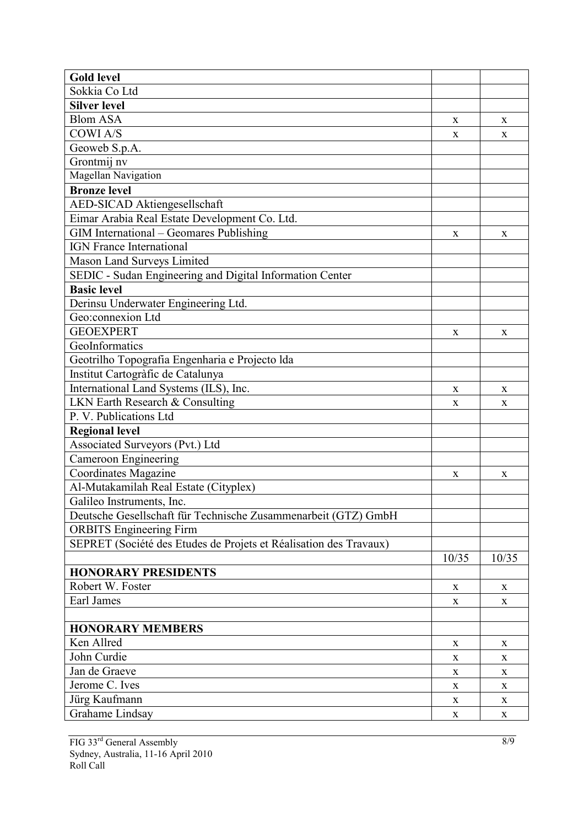| <b>Gold level</b>                                                 |             |             |
|-------------------------------------------------------------------|-------------|-------------|
| Sokkia Co Ltd                                                     |             |             |
| <b>Silver level</b>                                               |             |             |
| <b>Blom ASA</b>                                                   | X           | X           |
| <b>COWIA/S</b>                                                    | X           | X           |
| Geoweb S.p.A.                                                     |             |             |
| Grontmij nv                                                       |             |             |
| Magellan Navigation                                               |             |             |
| <b>Bronze level</b>                                               |             |             |
| AED-SICAD Aktiengesellschaft                                      |             |             |
| Eimar Arabia Real Estate Development Co. Ltd.                     |             |             |
| GIM International - Geomares Publishing                           | X           | X           |
| <b>IGN France International</b>                                   |             |             |
| Mason Land Surveys Limited                                        |             |             |
| SEDIC - Sudan Engineering and Digital Information Center          |             |             |
| <b>Basic level</b>                                                |             |             |
| Derinsu Underwater Engineering Ltd.                               |             |             |
| Geo:connexion Ltd                                                 |             |             |
| <b>GEOEXPERT</b>                                                  | X           | $\mathbf X$ |
| GeoInformatics                                                    |             |             |
| Geotrilho Topografia Engenharia e Projecto Ida                    |             |             |
| Institut Cartogràfic de Catalunya                                 |             |             |
| International Land Systems (ILS), Inc.                            | X           | X           |
| LKN Earth Research & Consulting                                   | X           | X           |
| P. V. Publications Ltd                                            |             |             |
| <b>Regional level</b>                                             |             |             |
| Associated Surveyors (Pvt.) Ltd                                   |             |             |
| <b>Cameroon Engineering</b>                                       |             |             |
| Coordinates Magazine                                              | X           | X           |
| Al-Mutakamilah Real Estate (Cityplex)                             |             |             |
| Galileo Instruments, Inc.                                         |             |             |
| Deutsche Gesellschaft für Technische Zusammenarbeit (GTZ) GmbH    |             |             |
| <b>ORBITS</b> Engineering Firm                                    |             |             |
| SEPRET (Société des Etudes de Projets et Réalisation des Travaux) |             |             |
|                                                                   | 10/35       | 10/35       |
| <b>HONORARY PRESIDENTS</b>                                        |             |             |
| Robert W. Foster                                                  | X           | X           |
| Earl James                                                        | X           | X           |
|                                                                   |             |             |
| <b>HONORARY MEMBERS</b>                                           |             |             |
| Ken Allred                                                        | $\mathbf X$ | $\mathbf X$ |
| John Curdie                                                       | X           | $\mathbf X$ |
| Jan de Graeve                                                     | X           | X           |
| Jerome C. Ives                                                    | $\mathbf X$ | $\mathbf X$ |
| Jürg Kaufmann                                                     | $\mathbf X$ | $\mathbf X$ |
| Grahame Lindsay                                                   | $\mathbf X$ | $\mathbf X$ |
|                                                                   |             |             |